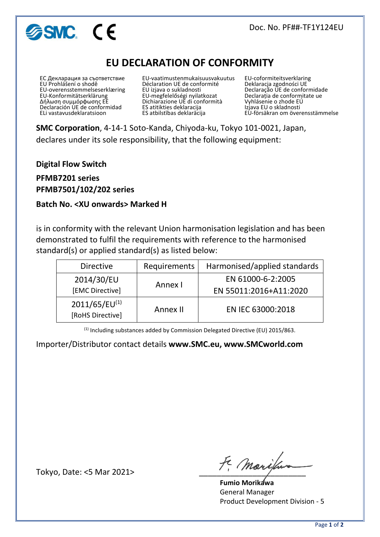# **ESMC.** CE

## **EU DECLARATION OF CONFORMITY**

ЕС Декларация за съответствие EU Prohlášení o shodě EU-overensstemmelseserklæring EU-Konformitätserklärung Δήλωση συμμόρφωσης ΕΕ Declaración UE de conformidad ELi vastavusdeklaratsioon

EU-vaatimustenmukaisuusvakuutus Déclaration UE de conformité EU izjava o sukladnosti EU-megfelelőségi nyilatkozat Dichiarazione UE di conformità ES atitikties deklaracija ES atbilstības deklarācija

EU-coformiteitsverklaring Deklaracja zgodności UE Declaração UE de conformidade Declarația de conformitate ue Vyhlásenie o zhode EÚ Izjava EU o skladnosti EU-försäkran om överensstämmelse

**SMC Corporation**, 4-14-1 Soto-Kanda, Chiyoda-ku, Tokyo 101-0021, Japan, declares under its sole responsibility, that the following equipment:

**Digital Flow Switch**

**PFMB7201 series PFMB7501/102/202 series**

#### **Batch No. <XU onwards> Marked H**

is in conformity with the relevant Union harmonisation legislation and has been demonstrated to fulfil the requirements with reference to the harmonised standard(s) or applied standard(s) as listed below:

| <b>Directive</b>                       | Requirements | Harmonised/applied standards |  |
|----------------------------------------|--------------|------------------------------|--|
| 2014/30/EU                             | Annex I      | EN 61000-6-2:2005            |  |
| [EMC Directive]                        |              | EN 55011:2016+A11:2020       |  |
| $2011/65/EU^{(1)}$<br>[RoHS Directive] | Annex II     | EN IEC 63000:2018            |  |

(1) Including substances added by Commission Delegated Directive (EU) 2015/863.

Importer/Distributor contact details **www.SMC.eu, www.SMCworld.com**

Tokyo, Date: <5 Mar 2021>  $\widetilde{f}$ , *Marifu* 

 **Fumio Morikawa** General Manager Product Development Division - 5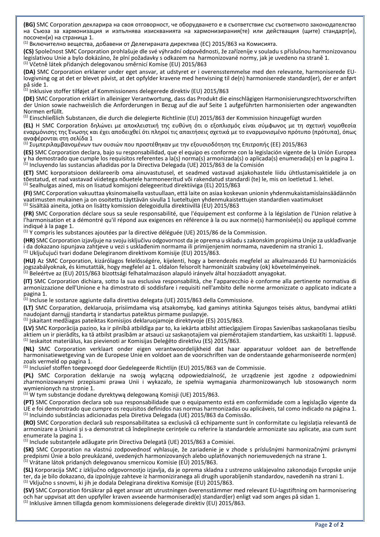**(BG)** SMC Corporation декларира на своя отговорност, че оборудването е в съответствие със съответното законодателство на Съюза за хармонизация и изпълнява изискванията на хармонизирания(те) или действащия (щите) стандарт(и), посочен(и) на страница 1.

(1) Включително вещества, добавени от Делегираната директива (ЕС) 2015/863 на Комисията.

**(CS)** Společnost SMC Corporation prohlašuje dle své výhradní odpovědnosti, že zařízeníje v souladu s příslušnou harmonizovanou legislativou Unie a bylo dokázáno, že plní požadavky s odkazem na harmonizované normy, jak je uvedeno na straně 1. (1) Včetně látek přidaných delegovanou směrnicí Komise (EU) 2015/863

**(DA)** SMC Corporation erklærer under eget ansvar, at udstyret er i overensstemmelse med den relevante, harmoniserede EUlovgivning og at det er blevet påvist, at det opfylder kravene med henvisning til de(n) harmoniserede standard(er), der er anført på side 1.

 $^{(1)}$  Inklusive stoffer tilføjet af Kommissionens delegerede direktiv (EU) 2015/863

**(DE)** SMC Corporation erklärt in alleiniger Verantwortung, dass das Produkt die einschlägigen Harmonisierungsrechtsvorschriften der Union sowie nachweislich die Anforderungen in Bezug auf die auf Seite 1 aufgeführten harmonisierten oder angewandten Normen erfüllt.

(1) Einschließlich Substanzen, die durch die delegierte Richtlinie (EU) 2015/863 der Kommission hinzugefügt wurden

**(EL)** Η SMC Corporation δηλώνει με αποκλειστική της ευθύνη ότι ο εξοπλισμός είναι σύμφωνος με τη σχετική νομοθεσία εναρμόνισης της Ένωσης και έχει αποδειχθεί ότι πληροί τις απαιτήσεις σχετικά με το εναρμονισμένο πρότυπο (πρότυπα), όπως αναφέρονται στη σελίδα 1

(1) Συμπεριλαμβανομένων των ουσιών που προστέθηκαν με την εξουσιοδότηση της Επιτροπής (ΕΕ) 2015/863

**(ES)** SMC Corporation declara, bajo su responsabilidad, que el equipo es conforme con la legislación vigente de la Unión Europea y ha demostrado que cumple los requisitos referentes a la(s) norma(s) armonizada(s) o aplicada(s) enumerada(s) en la pagina 1.  $^{(1)}$  Incluyendo las sustancias añadidas por la Directiva Delegada (UE) 2015/863 de la Comisión

**(ET)** SMC korporatsioon deklareerib oma ainuvastutusel, et seadmed vastavad asjakohastele liidu ühtlustamisaktidele ja on tõestatud, et nad vastavad viidetega nõuetele harmoneeritud või rakendatud standardi (te) le, mis on loetletud 1. lehel. (1) Sealhulgas ained, mis on lisatud komisjoni delegeeritud direktiiviga (EL) 2015/863

**(FI)** SMC Corporation vakuuttaa yksinomaisella vastuullaan, että laite on asiaa koskevan unionin yhdenmukaistamislainsäädännön vaatimusten mukainen ja on osoitettu täyttävän sivulla 1 lueteltujen yhdenmukaistettujen standardien vaatimukset (1) Sisältää aineita, jotka on lisätty komission delegoidulla direktiivillä (EU) 2015/863

**(FR)** SMC Corporation déclare sous sa seule responsabilité, que l'équipement est conforme à la législation de l'Union relative à l'harmonisation et a démontré qu'il répond aux exigences en référence à la ou aux norme(s) harmonisée(s) ou appliqué comme indiqué à la page 1.

(1) Y compris les substances ajoutées par la directive déléguée (UE) 2015/86 de la Commission.

**(HR)** SMC Corporation izjavljuje na svoju isključivu odgovornost da je oprema u skladu s zakonskim propisima Unije za usklađivanje i da dokazano ispunjava zahtjeve u vezi s usklađenim normama ili primijenjenim normama, navedenim na stranici 1. (1) Uključujući tvari dodane Delegiranom direktivom Komisije (EU) 2015/863.

**(HU)** Az SMC Corporation, kizárólagos felelősségére, kijelenti, hogy a berendezés megfelel az alkalmazandó EU harmonizációs jogszabályoknak, és kimutatták, hogy megfelel az 1. oldalon felsorolt harmonizált szabvány (ok) követelményeinek.  $^{(1)}$  Beleértve az (EU) 2015/863 bizottsági felhatalmazáson alapuló irányelv által hozzáadott anyagokat.

**(IT)** SMC Corporation dichiara, sotto la sua esclusiva responsabilità, che l'apparecchio è conforme alla pertinente normativa di armonizzazione dell'Unione e ha dimostrato di soddisfare i requisiti nell'ambito delle norme armonizzate o applicato indicate a pagina 1.

 $^{(1)}$  Incluse le sostanze aggiunte dalla direttiva delegata (UE) 2015/863 della Commissione.

**(LT)** SMC Corparation, deklaruoja, prisiimdama visą atsakomybę, kad gaminys atitinka Sąjungos teisės aktus, bandymai atlikti naudojant darnųjį standartą ir standartus pateiktus pirmame puslapyje.

(1) Įskaitant medžiagas pateiktas Komisijos deklaruojamoje direktyvoje (ES) 2015/863.

**(LV)** SMC Korporācija paziņo, ka ir pilnībā atbildīga par to, ka iekārta atbilst attiecīgajiem Eiropas Savienības saskaņošanas tiesību aktiem un ir pierādīts, ka tā atbilst prasībām ar atsauci uz saskaņotajiem vai piemērotajiem standartiem, kas uzskaitīti 1. lappusē.  $^{(1)}$  Ieskaitot materiālus, kas pievienoti ar Komisijas Deleģēto direktīvu (ES) 2015/863.

**(NL)** SMC Corporation verklaart onder eigen verantwoordelijkheid dat haar apparatuur voldoet aan de betreffende harmonisatiewetgeving van de Europese Unie en voldoet aan de voorschriften van de onderstaande geharmoniseerde norm(en) zoals vermeld op pagina 1.

(1) Inclusief stoffen toegevoegd door Gedelegeerde Richtlijn (EU) 2015/863 van de Commissie.

**(PL)** SMC Corporation deklaruje na swoją wyłączną odpowiedzialność, że urządzenie jest zgodne z odpowiednimi zharmonizowanymi przepisami prawa Unii i wykazało, że spełnia wymagania zharmonizowanych lub stosowanych norm wymienionych na stronie 1.

<sup>(1)</sup> W tym substancje dodane dyrektywą delegowaną Komisji (UE) 2015/863.

**(PT)** SMC Corporation declara sob sua responsabilidade que o equipamento está em conformidade com a legislação vigente da UE e foi demonstrado que cumpre os requisitos definidos nas normas harmonizadas ou aplicáveis, tal como indicado na página 1.  $<sup>(1)</sup>$  Incluindo substâncias adicionadas pela Diretiva Delegada (UE) 2015/863 da Comissão.</sup>

**(RO)** SMC Corporation declară sub responsabilitatea sa exclusivă că echipamente sunt în conformitate cu legislația relevantă de armonizare a Uniunii și s-a demonstrat că îndeplinește cerințele cu referire la standardele armonizate sau aplicate, asa cum sunt enumerate la pagina 1.

(1) Include substanțele adăugate prin Directiva Delegată (UE) 2015/863 a Comisiei.

**(SK)** SMC Corporation na vlastnú zodpovednosť vyhlasuje, že zariadenie je v zhode s príslušnými harmonizačnými právnymi predpismi Únie a bolo preukázané, uvedených harmonizovaných alebo uplatňovaných noriemuvedených na strane 1.  $^{(1)}$  Vrátane látok pridaných delegovanou smernicou Komisie (EÚ) 2015/863.

**(SL)** Korporacija SMC z izključno odgovornostjo izjavlja, da je oprema skladna z ustrezno usklajevalno zakonodajo Evropske unije ter, da je bilo dokazano, da izpolnjuje zahteve iz harmoniziranega ali drugih uporabljenih standardov, navedenih na strani 1. (1) Vključno s snovmi, ki jih je dodala Delegirana direktiva Komisije (EU) 2015/863.

**(SV)** SMC Corporation försäkrar på eget ansvar att utrustningen överensstämmer med relevant EU-lagstiftning om harmonisering och har uppvisat att den uppfyller kraven avseende harmoniserad(e) standard(er) enligt vad som anges på sidan 1. (1) Inklusive ämnen tillagda genom kommissionens delegerade direktiv (EU) 2015/863.